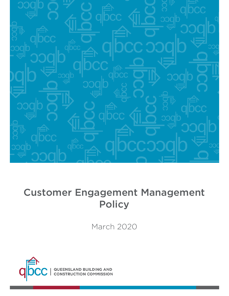

# Customer Engagement Management **Policy**

March 2020

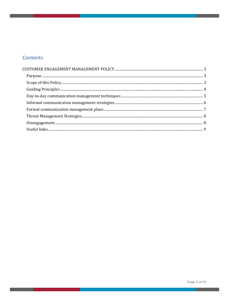## Contents

**Contract Contract**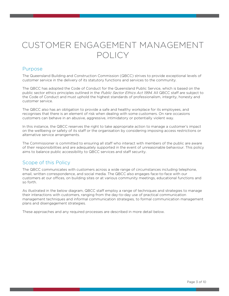## CUSTOMER ENGAGEMENT MANAGEMENT POLICY

## Purpose

The Queensland Building and Construction Commission (QBCC) strives to provide exceptional levels of customer service in the delivery of its statutory functions and services to the community.

The QBCC has adopted the Code of Conduct for the Queensland Public Service, which is based on the public sector ethics principles outlined in the Public Sector Ethics Act 1994. All QBCC staff are subject to the Code of Conduct and must uphold the highest standards of professionalism, integrity, honesty and customer service.

The QBCC also has an obligation to provide a safe and healthy workplace for its employees, and recognises that there is an element of risk when dealing with some customers. On rare occasions customers can behave in an abusive, aggressive, intimidatory or potentially violent way.

In this instance, the QBCC reserves the right to take appropriate action to manage a customer's impact on the wellbeing or safety of its staff or the organisation by considering imposing access restrictions or alternative service arrangements.

The Commissioner is committed to ensuring all staff who interact with members of the public are aware of their responsibilities and are adequately supported in the event of unreasonable behaviour. This policy aims to balance public accessibility to QBCC services and staff security.

## Scope of this Policy

The QBCC communicates with customers across a wide range of circumstances including telephone, email, written correspondence, and social media. The QBCC also engages face-to-face with our customers at our offices, on building sites or at various community meetings, educational functions and so forth.

As illustrated in the below diagram, QBCC staff employ a range of techniques and strategies to manage their interactions with customers, ranging from the day-to-day use of practical communication management techniques and informal communication strategies, to formal communication management plans and disengagement strategies.

These approaches and any required processes are described in more detail below.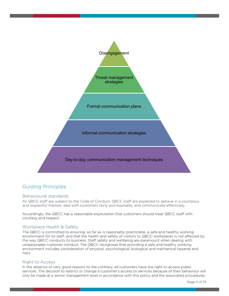

## Guiding Principles

#### Behavioural standards

All QBCC staff are subject to the Code of Conduct. QBCC staff are expected to behave in a courteous and respectful manner, deal with customers fairly and equitably, and communicate effectively.

Accordingly, the QBCC has a reasonable expectation that customers should treat QBCC staff with courtesy and respect.

#### Workplace Health & Safety

The QBCC is committed to ensuring, so far as is reasonably practicable, a safe and healthy working environment for its staff, and that the health and safety of visitors to QBCC workplaces is not affected by the way QBCC conducts its business. Staff safety and wellbeing are paramount when dealing with unreasonable customer conduct. The QBCC recognises that providing a safe and healthy working environment includes consideration of physical, psychological, biological and mechanical hazards and risks.

#### Right to Access

In the absence of very good reasons to the contrary, all customers have the right to access public services. The decision to restrict or change a customer's access to services because of their behaviour will only be made at a senior management level in accordance with this policy and the associated procedures.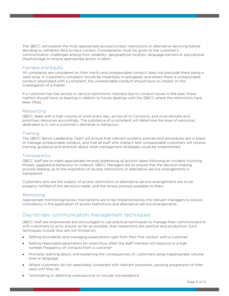The QBCC will explore the most appropriate access/contact restrictions or alternative servicing before deciding to withdraw face-to-face contact. Consideration must be given to the customer's communication challenges arising from disability, geographical location, language barriers or educational disadvantage to ensure appropriate action is taken.

#### Fairness and Equity

All complaints are considered on their merits and unreasonable conduct does not preclude there being a valid issue. A customer's complaint should be impartially investigated, and where there is unreasonable conduct associated with a complaint, the unreasonable conduct should have no impact on the investigation of a matter.

If a customer has had access or service restrictions imposed due to conduct issues in the past, these matters should have no bearing in relation to future dealings with the QBCC where the restrictions have been lifted.

#### Resourcing

QBCC deals with a high volume of work every day, across all its functions, and must allocate and prioritises resources accordingly. The substance of a complaint will determine the level of resources dedicated to it, not a customer's demands or behaviour.

#### **Training**

The QBCC Senior Leadership Team will ensure that relevant systems, policies and procedures are in place to manage unreasonable conduct, and that all staff who interact with unreasonable customers will receive training, guidance and direction about what management strategies could be implemented.

#### **Transparency**

QBCC staff are to make appropriate records addressing all actions taken following an incident involving threats, aggressive behaviour or violence. QBCC Managers are to ensure that the decision-making process leading up to the imposition of access restrictions or alternative service arrangements is transparent.

Customers who are the subject of access restrictions or alternative service arrangements are to be properly notified of the decisions made, and the review process available to them.

#### Monitoring

Appropriate monitoring/review mechanisms are to be implemented by the relevant managers to ensure consistency in the application of access restrictions and alternative service arrangements.

## Day-to-day communication management techniques

QBCC staff are empowered and encouraged to use practical techniques to manage their communications with customers so as to ensure, as far as possible, that interactions are positive and productive. Such techniques include (but are not limited to):

- Setting boundaries and managing expecations right from their first contact with a customer
- Setting reasonable parameters for when/how often the staff member will respond to a high number/frequency of contacts from a customer
- Promptly warning about, and explaining the consequences of, customers using inappropriate volume, tone or language
- Where customers do not reasonably cooperate with relevant processes, pausing progression of their case until they do
- Terminating or deferring unproductive or circular conversations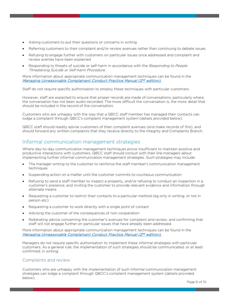- Asking customers to put their questions or concerns in writing
- Referring customers to their complaint and/or review avenues rather than continuing to debate issues
- Refusing to engage further with customers on particular issues once addressed and complaint and review avenies have been explained
- Responding to threats of suicide or self-harm in accordance with the Responding to People Threatening Suicide or Self-harm Procedure.

More information about appropriate communication management techniques can be found in the <u>Managing Unreasonable Complainant Conduct Practice Manual (2<sup>nd</sup> edition),</u>

Staff do not require specific authorisation to employ these techniques with particular customers.

However, staff are expected to ensure that proper records are made of conversations, particularly where the conversation has not been audio-recorded. The more difficult the conversation is, the more detail that should be included in the record of the conversation.

Customers who are unhappy with the way that a QBCC staff member has managed their contacts can lodge a complaint through QBCC's complaint management system (details provided below).

QBCC staff should readily advise customers of their complaint avenues (and make records of this), and should forward any written complaints that they receive directly to the Integrity and Complaints Branch.

## Informal communication management strategies

Where day-to-day communication management techniques prove insufficient to maintain positive and productive interactions with customers, QBCC staff should consult with their line managers about implementing further informal communication management strategies. Such strategies may include:

- The manager writing to the customer to reinforce the staff member's communication management techniques
- Suspending action on a matter until the customer commits to courteous communication
- Refusing to send a staff member to inspect a property, and/or refusing to conduct an inspection in a customer's presence, and inviting the customer to provide relevant evidence and information through alternate means
- Requesting a customer to restrict their contacts to a particular method (eg only in writing, or not in person etc)
- Requesting a customer to work directly with a single point of contact
- Advising the customer of the consequences of non-cooperation
- Reiterating advice concerning the customer's avenues for complaint and review, and confirming that staff will not engage further on particular issues that have already been addressed.

More information about appropriate communication management techniques can be found in the <u>Managing Unreasonable Complainant Conduct Practice Manual (2<sup>nd</sup> edition),</u>

Managers do not require specific authorisation to implement these informal strategies with particular customers. As a general rule, the implementation of such strategies should be communicated, or at least confirmed, in writing.

#### Complaints and review

Customers who are unhappy with the implementation of such informal communication management strategies can lodge a complaint through QBCC's complaint management system (details provided below).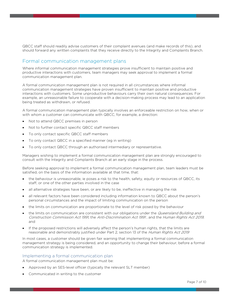QBCC staff should readily advise customers of their complaint avenues (and make records of this), and should forward any written complaints that they receive directly to the Integrity and Complaints Branch.

## Formal communication management plans

Where informal communication management strategies prove insufficient to maintain positive and productive interactions with customers, team managers may seek approval to implement a formal communication management plan.

A formal communication management plan is not required in all circumstances where informal communication management strategies have proven insufficient to maintain positive and productive interactions with customers. Some unproductive behaviours carry their own natural consequences. For example, an unreasonable failure to cooperate with a decision-making process may lead to an application being treated as withdrawn, or refused.

A formal communication management plan typically involves an enforceable restriction on how, when or with whom a customer can communicate with QBCC, for example, a direction:

- Not to attend QBCC premises in person
- Not to further contact specific QBCC staff members
- To only contact specific QBCC staff members
- To only contact QBCC in a specified manner (eg in writing)
- To only contact QBCC through an authorised intermediary or representative.

Managers wishing to implement a formal communication management plan are strongly encouraged to consult with the Integrity and Complaints Branch at an early stage in the process.

Before seeking approval to implement a formal communication management plan, team leaders must be satisfied, on the basis of the information available at that time, that:

- the behaviour is unreasonable, ie poses a risk to the health, safety, equity or resources of QBCC, its staff, or one of the other parties involved in the case
- all alternative strategies have been, or are likely to be, ineffective in managing the risk
- all relevant factors have been considered including information known to QBCC about the person's personal circumstances and the impact of limiting communication on the person
- the limits on communication are proportionate to the level of risk posed by the behaviour
- the limits on communication are consistent with our obligations under the *Queensland Building and* Construction Commission Act 1991, the Anti-Discrimination Act 1991 , and the Human Rights Act 2019, and
- If the proposed restrictions will adversely affect the person's human rights, that the limits are reasonable and demonstrably justified under Part 2, section 13 of the Human Rights Act 2019

In most cases, a customer should be given fair warning that implementing a formal communication management strategy is being considered, and an opportunity to change their behaviour, before a formal communication strategy is implemented.

#### Implementing a formal communication plan

A formal communication management plan must be:

- Approved by an SES-level officer (typically the relevant SLT member)
- Communicated in writing to the customer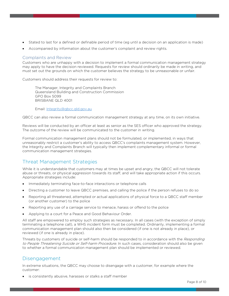- Stated to last for a defined or definable period of time (eg until a decision on an application is made)
- Accompanied by information about the customer's complaint and review rights.

#### Complaints and Review

Customers who are unhappy with a decision to implement a formal communication management strategy may apply to have the decision reviewed. Requests for review should ordinarily be made in writing, and must set out the grounds on which the customer believes the strategy to be unreasonable or unfair.

Customers should address their requests for review to:

The Manager, Integrity and Complaints Branch Queensland Building and Construction Commission GPO Box 5099 BRISBANE QLD 4001

Email: Integrity@qbcc.qld.gov.au

QBCC can also review a formal communication management strategy at any time, on its own initiative.

Reviews will be conducted by an officer at least as senior as the SES officer who approved the strategy. The outcome of the review will be communicated to the customer in writing.

Formal communication management plans should not be formulated, or implemented, in ways that unreasonably restrict a customer's ability to access QBCC's complaints management system. However, the Integrity and Complaints Branch will typically then implement complementary informal or formal communication management strategies.

## Threat Management Strategies

While it is understandable that customers may at times be upset and angry, the QBCC will not tolerate abuse or threats, or physical aggression towards its staff, and will take appropriate action if this occurs. Appropriate strategies include:

- Immediately terminating face-to-face interactions or telephone calls
- Directing a customer to leave QBCC premises, and calling the police if the person refuses to do so
- Reporting all threatened, attempted or actual applications of physical force to a QBCC staff member (or another customer) to the police
- Reporting any use of a carriage service to menace, harass or offend to the police
- Applying to a court for a Peace and Good Behaviour Order.

All staff are empowered to employ such strategies as necessary. In all cases (with the exception of simply terminating a telephone call), a WHS incident form must be completed. Ordinarily, implementing a formal communication management plan should also then be considered (if one is not already in place), or reviewed (if one is already in place).

Threats by customers of suicide or self-harm should be responded to in accordance with the Responding to People Threatening Suicide or Self-harm Procedure. In such cases, consideration should also be given to whether a formal communication management plan should be implemented or reviewed.

## Disengagement

In extreme situations, the QBCC may choose to disengage with a customer, for example where the customer:

is consistently abusive, harasses or stalks a staff member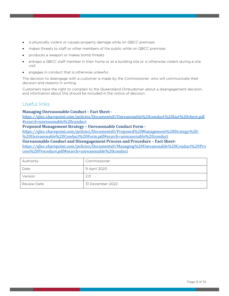- is physically violent or causes property damage while on QBCC premises
- makes threats to staff or other members of the public while on QBCC premises
- produces a weapon or makes bomb threats
- entraps a QBCC staff member in their home or at a building site or is otherwise violent during a site visit
- engages in conduct that is otherwise unlawful.

The decision to disengage with a customer is made by the Commissioner, who will communicate their decision and reasons in writing.

Customers have the right to complain to the Queensland Ombudsman about a disengagement decision, and information about this should be included in the notice of decision.

## Useful links

#### **Managing Unreasonable Conduct – Fact Sheet -**

https://qbcc.sharepoint.com/policies/Documents0/Unreasonable%20conduct%20fact%20sheet.pdf #search=unreasonable%20conduct

#### **Proposed Management Strategy – Unreasonable Conduct Form -**

https://qbcc.sharepoint.com/policies/Documents0/Proposed%20Management%20Strategy%20- %20Unreasonable%20Conduct%20Form.pdf#search=unreasonable%20conduct

**Unreasonable Conduct and Disengagement Process and Procedure – Fact Sheet-**

https://qbcc.sharepoint.com/policies/Documents0/Managing%20Unreasonable%20Conduct%20Pro cess%20Procedure.pdf#search=unreasonable%20conduct

| Authority          | Commissioner     |
|--------------------|------------------|
| Date               | 9 April 2020     |
| Version            | 2.0              |
| <b>Review Date</b> | 31 December 2022 |